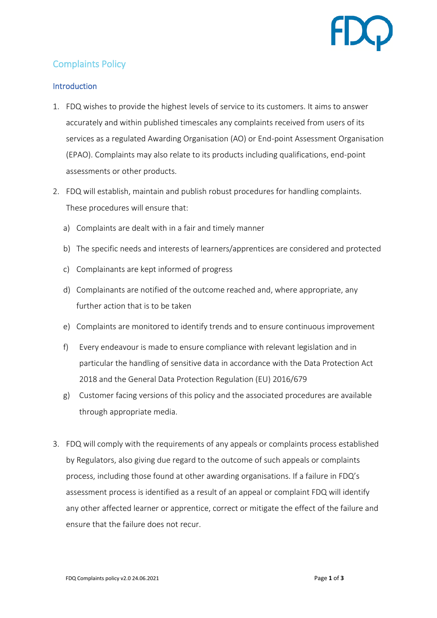# Complaints Policy

### **Introduction**

- 1. FDQ wishes to provide the highest levels of service to its customers. It aims to answer accurately and within published timescales any complaints received from users of its services as a regulated Awarding Organisation (AO) or End-point Assessment Organisation (EPAO). Complaints may also relate to its products including qualifications, end-point assessments or other products.
- 2. FDQ will establish, maintain and publish robust procedures for handling complaints. These procedures will ensure that:
	- a) Complaints are dealt with in a fair and timely manner
	- b) The specific needs and interests of learners/apprentices are considered and protected
	- c) Complainants are kept informed of progress
	- d) Complainants are notified of the outcome reached and, where appropriate, any further action that is to be taken
	- e) Complaints are monitored to identify trends and to ensure continuous improvement
	- f) Every endeavour is made to ensure compliance with relevant legislation and in particular the handling of sensitive data in accordance with the Data Protection Act 2018 and the General Data Protection Regulation (EU) 2016/679
	- g) Customer facing versions of this policy and the associated procedures are available through appropriate media.
- 3. FDQ will comply with the requirements of any appeals or complaints process established by Regulators, also giving due regard to the outcome of such appeals or complaints process, including those found at other awarding organisations. If a failure in FDQ's assessment process is identified as a result of an appeal or complaint FDQ will identify any other affected learner or apprentice, correct or mitigate the effect of the failure and ensure that the failure does not recur.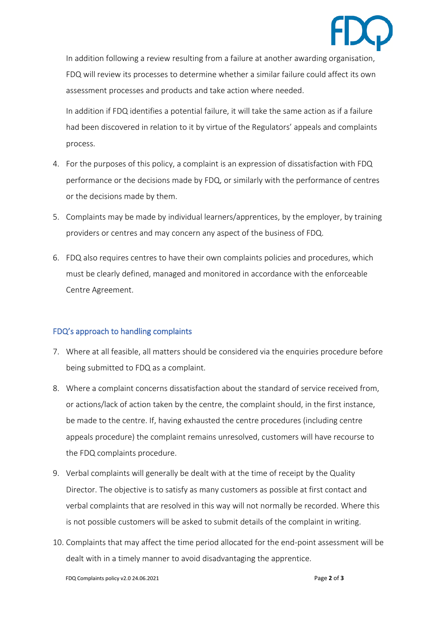

In addition following a review resulting from a failure at another awarding organisation, FDQ will review its processes to determine whether a similar failure could affect its own assessment processes and products and take action where needed.

In addition if FDQ identifies a potential failure, it will take the same action as if a failure had been discovered in relation to it by virtue of the Regulators' appeals and complaints process.

- 4. For the purposes of this policy, a complaint is an expression of dissatisfaction with FDQ performance or the decisions made by FDQ, or similarly with the performance of centres or the decisions made by them.
- 5. Complaints may be made by individual learners/apprentices, by the employer, by training providers or centres and may concern any aspect of the business of FDQ.
- 6. FDQ also requires centres to have their own complaints policies and procedures, which must be clearly defined, managed and monitored in accordance with the enforceable Centre Agreement.

## FDQ's approach to handling complaints

- 7. Where at all feasible, all matters should be considered via the enquiries procedure before being submitted to FDQ as a complaint.
- 8. Where a complaint concerns dissatisfaction about the standard of service received from, or actions/lack of action taken by the centre, the complaint should, in the first instance, be made to the centre. If, having exhausted the centre procedures (including centre appeals procedure) the complaint remains unresolved, customers will have recourse to the FDQ complaints procedure.
- 9. Verbal complaints will generally be dealt with at the time of receipt by the Quality Director. The objective is to satisfy as many customers as possible at first contact and verbal complaints that are resolved in this way will not normally be recorded. Where this is not possible customers will be asked to submit details of the complaint in writing.
- 10. Complaints that may affect the time period allocated for the end-point assessment will be dealt with in a timely manner to avoid disadvantaging the apprentice.